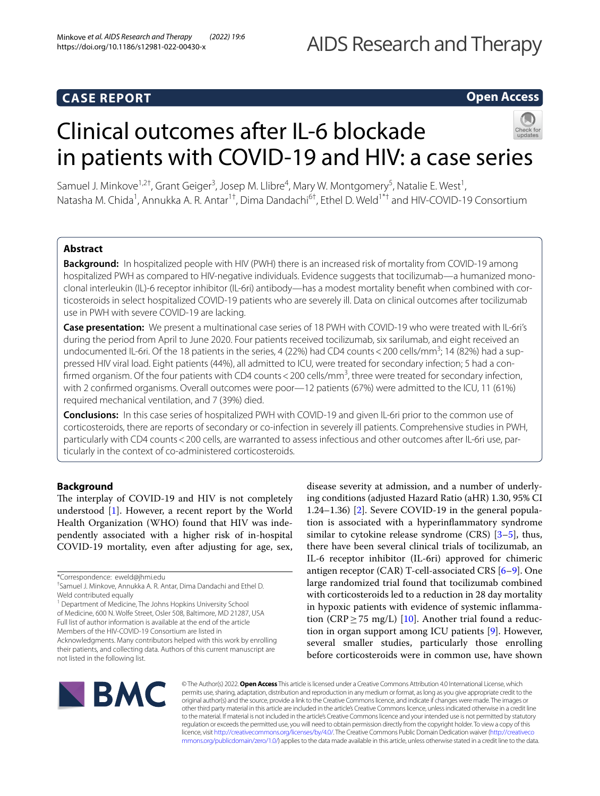# **CASE REPORT**

# **Open Access**

# Clinical outcomes after IL-6 blockade in patients with COVID-19 and HIV: a case series



# **Abstract**

**Background:** In hospitalized people with HIV (PWH) there is an increased risk of mortality from COVID-19 among hospitalized PWH as compared to HIV-negative individuals. Evidence suggests that tocilizumab—a humanized monoclonal interleukin (IL)-6 receptor inhibitor (IL-6ri) antibody—has a modest mortality beneft when combined with corticosteroids in select hospitalized COVID-19 patients who are severely ill. Data on clinical outcomes after tocilizumab use in PWH with severe COVID-19 are lacking.

**Case presentation:** We present a multinational case series of 18 PWH with COVID-19 who were treated with IL-6ri's during the period from April to June 2020. Four patients received tocilizumab, six sarilumab, and eight received an undocumented IL-6ri. Of the 18 patients in the series, 4 (22%) had CD4 counts < 200 cells/mm<sup>3</sup>; 14 (82%) had a suppressed HIV viral load. Eight patients (44%), all admitted to ICU, were treated for secondary infection; 5 had a confirmed organism. Of the four patients with CD4 counts < 200 cells/mm<sup>3</sup>, three were treated for secondary infection, with 2 confrmed organisms. Overall outcomes were poor—12 patients (67%) were admitted to the ICU, 11 (61%) required mechanical ventilation, and 7 (39%) died.

**Conclusions:** In this case series of hospitalized PWH with COVID-19 and given IL-6ri prior to the common use of corticosteroids, there are reports of secondary or co-infection in severely ill patients. Comprehensive studies in PWH, particularly with CD4 counts<200 cells, are warranted to assess infectious and other outcomes after IL-6ri use, particularly in the context of co-administered corticosteroids.

# **Background**

The interplay of COVID-19 and HIV is not completely understood [[1\]](#page-5-0). However, a recent report by the World Health Organization (WHO) found that HIV was independently associated with a higher risk of in-hospital COVID-19 mortality, even after adjusting for age, sex,

<sup>1</sup> Department of Medicine, The Johns Hopkins University School of Medicine, 600 N. Wolfe Street, Osler 508, Baltimore, MD 21287, USA Full list of author information is available at the end of the article Members of the HIV-COVID-19 Consortium are listed in

Acknowledgments. Many contributors helped with this work by enrolling their patients, and collecting data. Authors of this current manuscript are not listed in the following list.

disease severity at admission, and a number of underlying conditions (adjusted Hazard Ratio (aHR) 1.30, 95% CI 1.24–1.36) [\[2](#page-5-1)]. Severe COVID-19 in the general population is associated with a hyperinfammatory syndrome similar to cytokine release syndrome  $(CRS)$   $[3-5]$  $[3-5]$ , thus, there have been several clinical trials of tocilizumab, an IL-6 receptor inhibitor (IL-6ri) approved for chimeric antigen receptor (CAR) T-cell-associated CRS [[6](#page-5-4)[–9](#page-5-5)]. One large randomized trial found that tocilizumab combined with corticosteroids led to a reduction in 28 day mortality in hypoxic patients with evidence of systemic infammation (CRP  $\geq$  75 mg/L) [[10\]](#page-5-6). Another trial found a reduction in organ support among ICU patients [[9\]](#page-5-5). However, several smaller studies, particularly those enrolling before corticosteroids were in common use, have shown



© The Author(s) 2022. **Open Access** This article is licensed under a Creative Commons Attribution 4.0 International License, which permits use, sharing, adaptation, distribution and reproduction in any medium or format, as long as you give appropriate credit to the original author(s) and the source, provide a link to the Creative Commons licence, and indicate if changes were made. The images or other third party material in this article are included in the article's Creative Commons licence, unless indicated otherwise in a credit line to the material. If material is not included in the article's Creative Commons licence and your intended use is not permitted by statutory regulation or exceeds the permitted use, you will need to obtain permission directly from the copyright holder. To view a copy of this licence, visit [http://creativecommons.org/licenses/by/4.0/.](http://creativecommons.org/licenses/by/4.0/) The Creative Commons Public Domain Dedication waiver ([http://creativeco](http://creativecommons.org/publicdomain/zero/1.0/) [mmons.org/publicdomain/zero/1.0/](http://creativecommons.org/publicdomain/zero/1.0/)) applies to the data made available in this article, unless otherwise stated in a credit line to the data.

<sup>\*</sup>Correspondence: eweld@jhmi.edu

<sup>†</sup> Samuel J. Minkove, Annukka A. R. Antar, Dima Dandachi and Ethel D. Weld contributed equally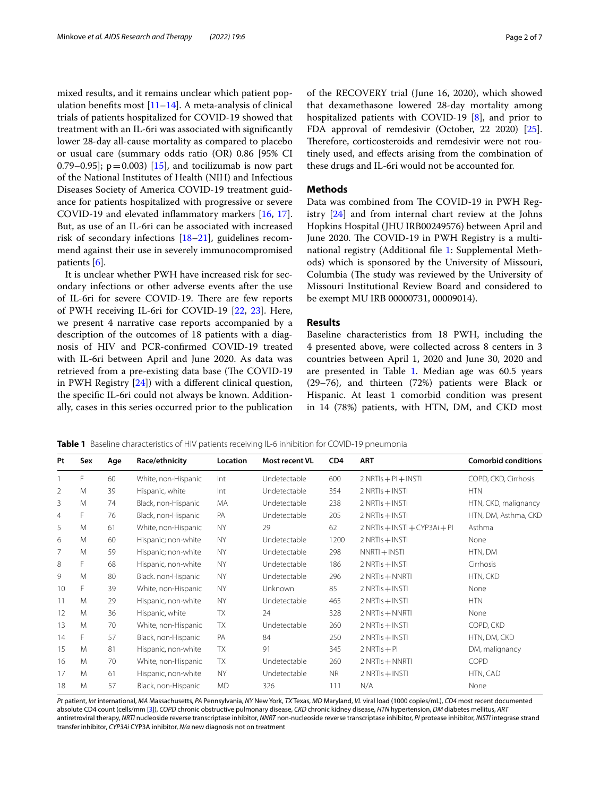mixed results, and it remains unclear which patient population benefits most  $[11-14]$  $[11-14]$ . A meta-analysis of clinical trials of patients hospitalized for COVID-19 showed that treatment with an IL-6ri was associated with signifcantly lower 28-day all-cause mortality as compared to placebo or usual care (summary odds ratio (OR) 0.86 [95% CI 0.79–0.95];  $p = 0.003$  [[15\]](#page-5-9), and tocilizumab is now part of the National Institutes of Health (NIH) and Infectious Diseases Society of America COVID-19 treatment guidance for patients hospitalized with progressive or severe COVID-19 and elevated infammatory markers [[16,](#page-5-10) [17](#page-6-0)]. But, as use of an IL-6ri can be associated with increased risk of secondary infections [[18–](#page-6-1)[21](#page-6-2)], guidelines recommend against their use in severely immunocompromised patients [[6\]](#page-5-4).

It is unclear whether PWH have increased risk for secondary infections or other adverse events after the use of IL-6ri for severe COVID-19. There are few reports of PWH receiving IL-6ri for COVID-19 [\[22,](#page-6-3) [23\]](#page-6-4). Here, we present 4 narrative case reports accompanied by a description of the outcomes of 18 patients with a diagnosis of HIV and PCR-confrmed COVID-19 treated with IL-6ri between April and June 2020. As data was retrieved from a pre-existing data base (The COVID-19 in PWH Registry [\[24](#page-6-5)]) with a diferent clinical question, the specifc IL-6ri could not always be known. Additionally, cases in this series occurred prior to the publication of the RECOVERY trial (June 16, 2020), which showed that dexamethasone lowered 28-day mortality among hospitalized patients with COVID-19 [\[8\]](#page-5-11), and prior to FDA approval of remdesivir (October, 22 2020) [\[25](#page-6-6)]. Therefore, corticosteroids and remdesivir were not routinely used, and efects arising from the combination of these drugs and IL-6ri would not be accounted for.

#### **Methods**

Data was combined from The COVID-19 in PWH Registry [[24](#page-6-5)] and from internal chart review at the Johns Hopkins Hospital (JHU IRB00249576) between April and June 2020. The COVID-19 in PWH Registry is a multinational registry (Additional fle [1](#page-4-0): Supplemental Methods) which is sponsored by the University of Missouri, Columbia (The study was reviewed by the University of Missouri Institutional Review Board and considered to be exempt MU IRB 00000731, 00009014).

# **Results**

Baseline characteristics from 18 PWH, including the 4 presented above, were collected across 8 centers in 3 countries between April 1, 2020 and June 30, 2020 and are presented in Table [1.](#page-1-0) Median age was 60.5 years (29–76), and thirteen (72%) patients were Black or Hispanic. At least 1 comorbid condition was present in 14 (78%) patients, with HTN, DM, and CKD most

<span id="page-1-0"></span>**Table 1** Baseline characteristics of HIV patients receiving IL-6 inhibition for COVID-19 pneumonia

| Pt | Sex | Age | Race/ethnicity      | Location  | Most recent VL | CD <sub>4</sub> | <b>ART</b>                    | <b>Comorbid conditions</b> |
|----|-----|-----|---------------------|-----------|----------------|-----------------|-------------------------------|----------------------------|
|    | F.  | 60  | White, non-Hispanic | Int       | Undetectable   | 600             | $2$ NRTIs + PI + INSTI        | COPD, CKD, Cirrhosis       |
| 2  | M   | 39  | Hispanic, white     | Int       | Undetectable   | 354             | $2$ NRTIs $+$ INSTI           | <b>HTN</b>                 |
| 3  | M   | 74  | Black, non-Hispanic | MA        | Undetectable   | 238             | $2$ NRTIs $+$ INSTI           | HTN, CKD, malignancy       |
| 4  | F   | 76  | Black, non-Hispanic | PA        | Undetectable   | 205             | $2$ NRTIs $+$ INSTI           | HTN, DM, Asthma, CKD       |
| 5  | M   | 61  | White, non-Hispanic | <b>NY</b> | 29             | 62              | 2 NRTIs + INSTI + CYP3Ai + PI | Asthma                     |
| 6  | M   | 60  | Hispanic; non-white | <b>NY</b> | Undetectable   | 1200            | $2$ NRTIs $+$ INSTI           | None                       |
| 7  | M   | 59  | Hispanic; non-white | <b>NY</b> | Undetectable   | 298             | $NNRTI + INSTI$               | HTN, DM                    |
| 8  | F   | 68  | Hispanic, non-white | <b>NY</b> | Undetectable   | 186             | $2$ NRTIs $+$ INSTI           | Cirrhosis                  |
| 9  | M   | 80  | Black. non-Hispanic | <b>NY</b> | Undetectable   | 296             | 2 NRTIs + NNRTI               | HTN, CKD                   |
| 10 | F   | 39  | White, non-Hispanic | <b>NY</b> | <b>Unknown</b> | 85              | $2$ NRTIs $+$ INSTI           | None                       |
| 11 | M   | 29  | Hispanic, non-white | <b>NY</b> | Undetectable   | 465             | $2$ NRTIs $+$ INSTI           | <b>HTN</b>                 |
| 12 | M   | 36  | Hispanic, white     | <b>TX</b> | 24             | 328             | 2 NRTIs + NNRTI               | None                       |
| 13 | M   | 70  | White, non-Hispanic | <b>TX</b> | Undetectable   | 260             | $2$ NRTIs $+$ INSTI           | COPD, CKD                  |
| 14 | F   | 57  | Black, non-Hispanic | PA        | 84             | 250             | $2$ NRTIs $+$ INSTI           | HTN, DM, CKD               |
| 15 | M   | 81  | Hispanic, non-white | TX        | 91             | 345             | $2$ NRTIs $+$ PI              | DM, malignancy             |
| 16 | M   | 70  | White, non-Hispanic | <b>TX</b> | Undetectable   | 260             | $2$ NRTIs $+$ NNRTI           | COPD                       |
| 17 | M   | 61  | Hispanic, non-white | <b>NY</b> | Undetectable   | NR.             | 2 NRTIs + INSTI               | HTN, CAD                   |
| 18 | M   | 57  | Black, non-Hispanic | <b>MD</b> | 326            | 111             | N/A                           | None                       |

*Pt* patient, *Int* international, *MA* Massachusetts, *PA* Pennsylvania, *NY* New York, *TX* Texas, *MD* Maryland, *VL* viral load (1000 copies/mL), *CD4* most recent documented absolute CD4 count (cells/mm [[3](#page-5-2)]), *COPD* chronic obstructive pulmonary disease, *CKD* chronic kidney disease, *HTN* hypertension, *DM* diabetes mellitus, *ART* antiretroviral therapy, *NRTI* nucleoside reverse transcriptase inhibitor, *NNRT* non-nucleoside reverse transcriptase inhibitor, *PI* protease inhibitor, *INSTI* integrase strand transfer inhibitor, *CYP3Ai* CYP3A inhibitor, *N/a* new diagnosis not on treatment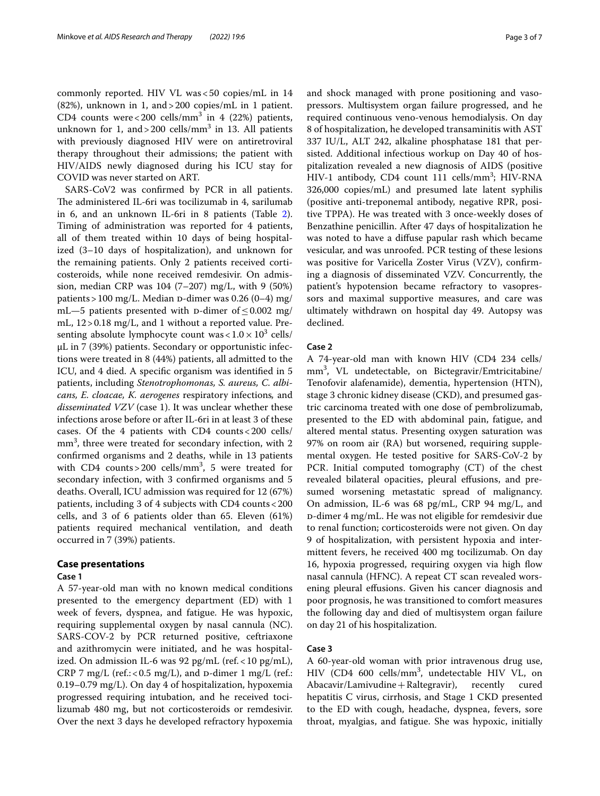commonly reported. HIV VL was<50 copies/mL in 14 (82%), unknown in 1, and>200 copies/mL in 1 patient. CD4 counts were < 200 cells/mm<sup>3</sup> in 4 (22%) patients, unknown for 1, and  $>$  200 cells/mm<sup>3</sup> in 13. All patients with previously diagnosed HIV were on antiretroviral therapy throughout their admissions; the patient with HIV/AIDS newly diagnosed during his ICU stay for COVID was never started on ART.

SARS-CoV2 was confrmed by PCR in all patients. The administered IL-6ri was tocilizumab in 4, sarilumab in 6, and an unknown IL-6ri in 8 patients (Table [2](#page-3-0)). Timing of administration was reported for 4 patients, all of them treated within 10 days of being hospitalized (3–10 days of hospitalization), and unknown for the remaining patients. Only 2 patients received corticosteroids, while none received remdesivir. On admission, median CRP was 104 (7–207) mg/L, with 9 (50%) patients > 100 mg/L. Median D-dimer was 0.26 (0–4) mg/ mL—5 patients presented with D-dimer of  $\leq$  0.002 mg/ mL, 12>0.18 mg/L, and 1 without a reported value. Presenting absolute lymphocyte count was  $< 1.0 \times 10^3$  cells/ µL in 7 (39%) patients. Secondary or opportunistic infections were treated in 8 (44%) patients, all admitted to the ICU, and 4 died. A specifc organism was identifed in 5 patients, including *Stenotrophomonas, S. aureus, C. albicans, E. cloacae, K. aerogenes* respiratory infections*,* and *disseminated VZV* (case 1). It was unclear whether these infections arose before or after IL-6ri in at least 3 of these cases. Of the 4 patients with CD4 counts<200 cells/ mm<sup>3</sup>, three were treated for secondary infection, with 2 confrmed organisms and 2 deaths, while in 13 patients with CD4 counts > 200 cells/ $mm<sup>3</sup>$ , 5 were treated for secondary infection, with 3 confrmed organisms and 5 deaths. Overall, ICU admission was required for 12 (67%) patients, including 3 of 4 subjects with CD4 counts<200 cells, and 3 of 6 patients older than 65. Eleven (61%) patients required mechanical ventilation, and death occurred in 7 (39%) patients.

# **Case presentations**

# **Case 1**

A 57-year-old man with no known medical conditions presented to the emergency department (ED) with 1 week of fevers, dyspnea, and fatigue. He was hypoxic, requiring supplemental oxygen by nasal cannula (NC). SARS-COV-2 by PCR returned positive, ceftriaxone and azithromycin were initiated, and he was hospitalized. On admission IL-6 was 92 pg/mL (ref.<10 pg/mL), CRP 7 mg/L (ref.: <  $0.5$  mg/L), and  $D$ -dimer 1 mg/L (ref.: 0.19–0.79 mg/L). On day 4 of hospitalization, hypoxemia progressed requiring intubation, and he received tocilizumab 480 mg, but not corticosteroids or remdesivir. Over the next 3 days he developed refractory hypoxemia and shock managed with prone positioning and vasopressors. Multisystem organ failure progressed, and he required continuous veno-venous hemodialysis. On day 8 of hospitalization, he developed transaminitis with AST 337 IU/L, ALT 242, alkaline phosphatase 181 that persisted. Additional infectious workup on Day 40 of hospitalization revealed a new diagnosis of AIDS (positive HIV-1 antibody, CD4 count 111 cells/mm<sup>3</sup>; HIV-RNA 326,000 copies/mL) and presumed late latent syphilis (positive anti-treponemal antibody, negative RPR, positive TPPA). He was treated with 3 once-weekly doses of Benzathine penicillin. After 47 days of hospitalization he was noted to have a difuse papular rash which became vesicular, and was unroofed. PCR testing of these lesions was positive for Varicella Zoster Virus (VZV), confrming a diagnosis of disseminated VZV. Concurrently, the patient's hypotension became refractory to vasopressors and maximal supportive measures, and care was ultimately withdrawn on hospital day 49. Autopsy was declined.

## **Case 2**

A 74-year-old man with known HIV (CD4 234 cells/ mm3 , VL undetectable, on Bictegravir/Emtricitabine/ Tenofovir alafenamide), dementia, hypertension (HTN), stage 3 chronic kidney disease (CKD), and presumed gastric carcinoma treated with one dose of pembrolizumab, presented to the ED with abdominal pain, fatigue, and altered mental status. Presenting oxygen saturation was 97% on room air (RA) but worsened, requiring supplemental oxygen. He tested positive for SARS-CoV-2 by PCR. Initial computed tomography (CT) of the chest revealed bilateral opacities, pleural efusions, and presumed worsening metastatic spread of malignancy. On admission, IL-6 was 68 pg/mL, CRP 94 mg/L, and d-dimer 4 mg/mL. He was not eligible for remdesivir due to renal function; corticosteroids were not given. On day 9 of hospitalization, with persistent hypoxia and intermittent fevers, he received 400 mg tocilizumab. On day 16, hypoxia progressed, requiring oxygen via high flow nasal cannula (HFNC). A repeat CT scan revealed worsening pleural efusions. Given his cancer diagnosis and poor prognosis, he was transitioned to comfort measures the following day and died of multisystem organ failure on day 21 of his hospitalization.

#### **Case 3**

A 60-year-old woman with prior intravenous drug use, HIV (CD4 600 cells/mm<sup>3</sup> , undetectable HIV VL, on Abacavir/Lamivudine+Raltegravir), recently cured hepatitis C virus, cirrhosis, and Stage 1 CKD presented to the ED with cough, headache, dyspnea, fevers, sore throat, myalgias, and fatigue. She was hypoxic, initially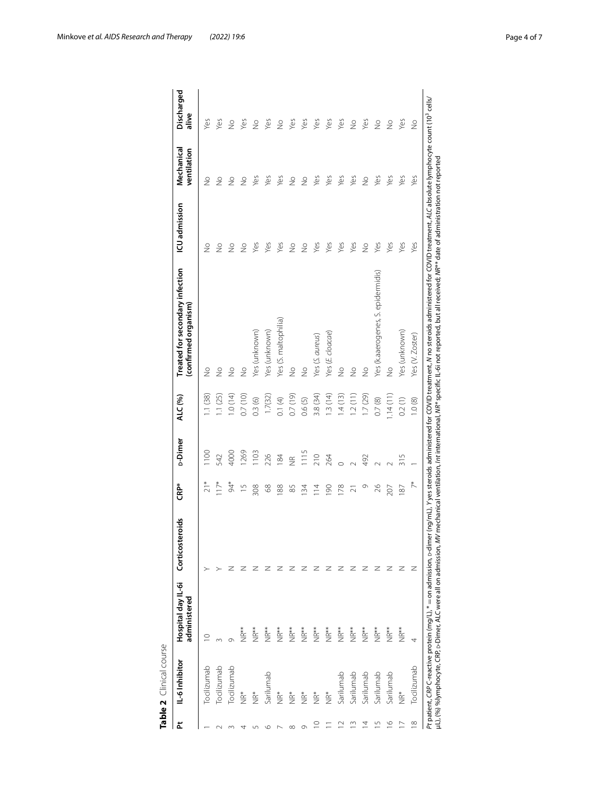<span id="page-3-0"></span>

| ᅕ                  | IL-6 Inhibitor | Hospital day IL-6i<br>administered | Corticosteroids | <b>CRP*</b>    | <b>D-Dimer</b>     | ALC (%)  | Treated for secondary infection<br>confirmed organism | ICU admission | Mechanical<br>ventilation | Discharged<br>alive |
|--------------------|----------------|------------------------------------|-----------------|----------------|--------------------|----------|-------------------------------------------------------|---------------|---------------------------|---------------------|
|                    | Tocilizumab    |                                    |                 |                | $\frac{100}{100}$  | 1.1(38)  | $\frac{1}{2}$                                         | $\frac{1}{2}$ | $\frac{1}{2}$             | Yes                 |
|                    | Tocilizumab    |                                    |                 | $117*$         | 542                | 1.1(25)  | $\frac{1}{2}$                                         | $\frac{1}{2}$ | $\frac{1}{2}$             | Yes                 |
|                    | Tocilizumab    | σ                                  |                 | $64*$          | 4000               | 1.0(14)  | $\frac{1}{2}$                                         | $\frac{1}{2}$ | $\frac{1}{2}$             | $\frac{1}{2}$       |
|                    | i<br>K         | NR**                               |                 | $\frac{1}{2}$  | 1269               | 0.7(10)  | $\frac{1}{2}$                                         | $\frac{1}{2}$ | $\frac{1}{2}$             | Yes                 |
|                    | ik<br>Z        | **<br>NR                           |                 | 308            | 103                | 0.3(6)   | Yes (unknown)                                         | Yes           | yes                       | $\frac{1}{2}$       |
| vΩ                 | Sarilumab      | NR**                               |                 | 89             | 226                | 1.7(32)  | Yes (unknown)                                         | Yes           | Yes                       | Yes                 |
|                    | å<br>NR        | **<br>NR                           |                 | 88             | 184                | 0.1(4)   | Yes (S. maltophilia)                                  | Yes           | Yes                       | $\frac{1}{2}$       |
| $\infty$           | ή¥             | NR**                               | z               | 85             | $\frac{\alpha}{2}$ | 0.7(19)  | $\frac{1}{2}$                                         | $\frac{1}{2}$ | $\frac{1}{2}$             | Yes                 |
| Ō                  | å<br>NR        | **<br>Z                            | z               | $\frac{34}{3}$ | 1115               | 0.6(5)   | $\frac{1}{2}$                                         | $\frac{1}{2}$ | $\frac{1}{2}$             | Yes                 |
|                    | å<br>NR        | i<br>NR**                          | z               | $\overline{4}$ | 210                | 3.8 (34) | Yes (S. aureus)                                       | Yes           | Yes                       | Yes                 |
|                    | å<br>NR        | NR**                               | Z               | $\infty$       | 264                | 1.3(14)  | Yes (E. cloacae)                                      | Yes           | Yes                       | Yes                 |
|                    | Sarilumab      | **<br>Z                            | z               | 178            | $\circ$            | 1.4(13)  | $\frac{1}{2}$                                         | Yes           | Yes                       | Yes                 |
| m                  | Sarilumab      | NR**                               | z               | ಸ              |                    | 1.2(11)  | $\frac{1}{2}$                                         | Yes           | Yes                       | $\frac{1}{2}$       |
| 4                  | Sarilumab      | **NR                               | z               | ᡡ              | 492                | 1.7(29)  | $\frac{1}{2}$                                         | $\frac{1}{2}$ | $\frac{1}{2}$             | Yes                 |
| S                  | Sarilumab      | NR**                               | z               | 26             |                    | 0.7(8)   | Yes (k.aaerogenes, S. epidermidis)                    | Yes           | Yes                       | $\frac{1}{2}$       |
| $\overline{\circ}$ | Sarilumab      | **NR                               | z               | 207            |                    | 1.14(11) | $\frac{1}{2}$                                         | Yes           | Yes                       | $\frac{1}{2}$       |
|                    | ik<br>Z        | NR**                               | z               | 187            | 315                | 0.2(1)   | Yes (unknown)                                         | Yes           | Yes                       | Yes                 |
| $\infty$           | Tocilizumab    | 4                                  | z               | $\tilde{7}^*$  |                    | 1.0(8)   | Yes (V. Zoster)                                       | Yes           | Yes                       | $\frac{1}{2}$       |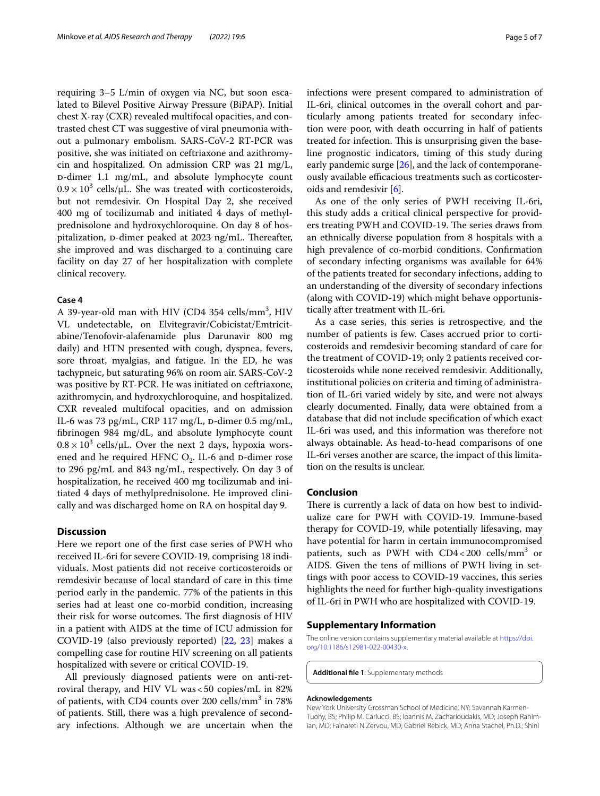requiring 3–5 L/min of oxygen via NC, but soon escalated to Bilevel Positive Airway Pressure (BiPAP). Initial chest X-ray (CXR) revealed multifocal opacities, and contrasted chest CT was suggestive of viral pneumonia without a pulmonary embolism. SARS-CoV-2 RT-PCR was positive, she was initiated on ceftriaxone and azithromycin and hospitalized. On admission CRP was 21 mg/L, D-dimer 1.1 mg/mL, and absolute lymphocyte count  $0.9 \times 10^3$  cells/ $\mu$ L. She was treated with corticosteroids, but not remdesivir. On Hospital Day 2, she received 400 mg of tocilizumab and initiated 4 days of methylprednisolone and hydroxychloroquine. On day 8 of hospitalization, p-dimer peaked at 2023 ng/mL. Thereafter, she improved and was discharged to a continuing care facility on day 27 of her hospitalization with complete clinical recovery.

## **Case 4**

A 39-year-old man with HIV (CD4 354 cells/mm<sup>3</sup>, HIV VL undetectable, on Elvitegravir/Cobicistat/Emtricitabine/Tenofovir-alafenamide plus Darunavir 800 mg daily) and HTN presented with cough, dyspnea, fevers, sore throat, myalgias, and fatigue. In the ED, he was tachypneic, but saturating 96% on room air. SARS-CoV-2 was positive by RT-PCR. He was initiated on ceftriaxone, azithromycin, and hydroxychloroquine, and hospitalized. CXR revealed multifocal opacities, and on admission IL-6 was 73 pg/mL, CRP 117 mg/L,  $D$ -dimer 0.5 mg/mL, fbrinogen 984 mg/dL, and absolute lymphocyte count  $0.8 \times 10^3$  cells/µL. Over the next 2 days, hypoxia worsened and he required HFNC  $O<sub>2</sub>$ . IL-6 and  $D$ -dimer rose to 296 pg/mL and 843 ng/mL, respectively. On day 3 of hospitalization, he received 400 mg tocilizumab and initiated 4 days of methylprednisolone. He improved clinically and was discharged home on RA on hospital day 9.

# **Discussion**

Here we report one of the frst case series of PWH who received IL-6ri for severe COVID-19, comprising 18 individuals. Most patients did not receive corticosteroids or remdesivir because of local standard of care in this time period early in the pandemic. 77% of the patients in this series had at least one co-morbid condition, increasing their risk for worse outcomes. The first diagnosis of HIV in a patient with AIDS at the time of ICU admission for COVID-19 (also previously reported) [\[22](#page-6-3), [23\]](#page-6-4) makes a compelling case for routine HIV screening on all patients hospitalized with severe or critical COVID-19.

All previously diagnosed patients were on anti-retroviral therapy, and HIV VL was<50 copies/mL in 82% of patients, with CD4 counts over 200 cells/mm<sup>3</sup> in 78% of patients. Still, there was a high prevalence of secondary infections. Although we are uncertain when the

infections were present compared to administration of IL-6ri, clinical outcomes in the overall cohort and particularly among patients treated for secondary infection were poor, with death occurring in half of patients treated for infection. This is unsurprising given the baseline prognostic indicators, timing of this study during early pandemic surge [[26](#page-6-7)], and the lack of contemporaneously available efficacious treatments such as corticosteroids and remdesivir [[6](#page-5-4)].

As one of the only series of PWH receiving IL-6ri, this study adds a critical clinical perspective for providers treating PWH and COVID-19. The series draws from an ethnically diverse population from 8 hospitals with a high prevalence of co-morbid conditions. Confrmation of secondary infecting organisms was available for 64% of the patients treated for secondary infections, adding to an understanding of the diversity of secondary infections (along with COVID-19) which might behave opportunistically after treatment with IL-6ri.

As a case series, this series is retrospective, and the number of patients is few. Cases accrued prior to corticosteroids and remdesivir becoming standard of care for the treatment of COVID-19; only 2 patients received corticosteroids while none received remdesivir. Additionally, institutional policies on criteria and timing of administration of IL-6ri varied widely by site, and were not always clearly documented. Finally, data were obtained from a database that did not include specifcation of which exact IL-6ri was used, and this information was therefore not always obtainable. As head-to-head comparisons of one IL-6ri verses another are scarce, the impact of this limitation on the results is unclear.

#### **Conclusion**

There is currently a lack of data on how best to individualize care for PWH with COVID-19. Immune-based therapy for COVID-19, while potentially lifesaving, may have potential for harm in certain immunocompromised patients, such as PWH with CD4<200 cells/mm<sup>3</sup> or AIDS. Given the tens of millions of PWH living in settings with poor access to COVID-19 vaccines, this series highlights the need for further high-quality investigations of IL-6ri in PWH who are hospitalized with COVID-19.

#### **Supplementary Information**

The online version contains supplementary material available at [https://doi.](https://doi.org/10.1186/s12981-022-00430-x) [org/10.1186/s12981-022-00430-x.](https://doi.org/10.1186/s12981-022-00430-x)

<span id="page-4-0"></span>**Additional fle 1**: Supplementary methods

#### **Acknowledgements**

New York University Grossman School of Medicine, NY: Savannah Karmen-Tuohy, BS; Philip M. Carlucci, BS; Ioannis M. Zacharioudakis, MD; Joseph Rahimian, MD; Fainareti N Zervou, MD; Gabriel Rebick, MD; Anna Stachel, Ph.D.; Shini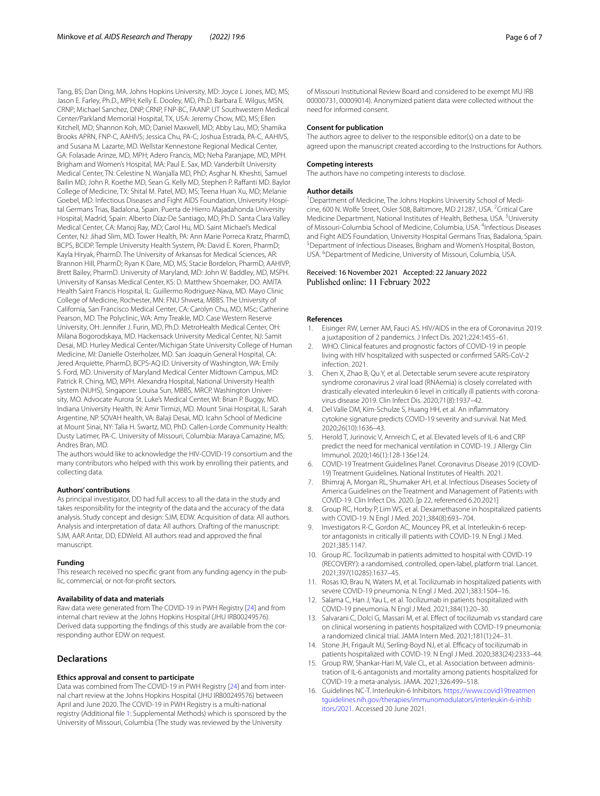Tang, BS; Dan Ding, MA. Johns Hopkins University, MD: Joyce L Jones, MD, MS; Jason E. Farley, Ph.D., MPH; Kelly E. Dooley, MD, Ph.D. Barbara E. Wilgus, MSN, CRNP; Michael Sanchez, DNP, CRNP, FNP-BC, FAANP. UT Southwestern Medical Center/Parkland Memorial Hospital, TX, USA: Jeremy Chow, MD, MS; Ellen Kitchell, MD; Shannon Koh, MD; Daniel Maxwell, MD; Abby Lau, MD; Shamika Brooks APRN, FNP-C, AAHIVS; Jessica Chu, PA-C; Joshua Estrada, PA-C, AAHIVS, and Susana M. Lazarte, MD. Wellstar Kennestone Regional Medical Center, GA: Folasade Arinze, MD, MPH; Adero Francis, MD; Neha Paranjape, MD, MPH. Brigham and Women's Hospital, MA: Paul E. Sax, MD. Vanderbilt University Medical Center, TN: Celestine N. Wanjalla MD, PhD; Asghar N. Kheshti, Samuel Bailin MD, John R. Koethe MD, Sean G. Kelly MD, Stephen P. Raffanti MD. Baylor College of Medicine, TX: Shital M. Patel, MD, MS; Teena Huan Xu, MD; Melanie Goebel, MD. Infectious Diseases and Fight AIDS Foundation, University Hospital Germans Trias, Badalona, Spain. Puerta de Hierro Majadahonda University Hospital, Madrid, Spain: Alberto Díaz-De Santiago, MD, Ph.D. Santa Clara Valley Medical Center, CA: Manoj Ray, MD; Carol Hu, MD. Saint Michael's Medical Center, NJ: Jihad Slim, MD. Tower Health, PA: Ann Marie Porreca Kratz, PharmD, BCPS, BCIDP. Temple University Health System, PA: David E. Koren, PharmD; Kayla Hiryak, PharmD. The University of Arkansas for Medical Sciences, AR: Brannon Hill, PharmD; Ryan K Dare, MD, MS; Stacie Bordelon, PharmD, AAHIVP; Brett Bailey, PharmD. University of Maryland, MD: John W. Baddley, MD, MSPH. University of Kansas Medical Center, KS: D. Matthew Shoemaker, DO. AMITA Health Saint Francis Hospital, IL: Guillermo Rodriguez-Nava, MD. Mayo Clinic College of Medicine, Rochester, MN: FNU Shweta, MBBS. The University of California, San Francisco Medical Center, CA: Carolyn Chu, MD, MSc; Catherine Pearson, MD. The Polyclinic, WA: Amy Treakle, MD. Case Western Reserve University, OH: Jennifer J. Furin, MD, Ph.D. MetroHealth Medical Center, OH: Milana Bogorodskaya, MD. Hackensack University Medical Center, NJ: Samit Desai, MD. Hurley Medical Center/Michigan State University College of Human Medicine, MI: Danielle Osterholzer, MD. San Joaquin General Hospital, CA: Jered Arquiette, PharmD, BCPS-AQ ID. University of Washington, WA: Emily S. Ford, MD. University of Maryland Medical Center Midtown Campus, MD: Patrick R. Ching, MD, MPH. Alexandra Hospital, National University Health System (NUHS), Singapore: Louisa Sun, MBBS, MRCP. Washington University, MO. Advocate Aurora St. Luke's Medical Center, WI: Brian P. Buggy, MD. Indiana University Health, IN: Amir Tirmizi, MD. Mount Sinai Hospital, IL: Sarah Argentine, NP. SOVAH health, VA: Balaji Desai, MD. Icahn School of Medicine at Mount Sinai, NY: Talia H. Swartz, MD, PhD. Callen-Lorde Community Health: Dusty Latimer, PA-C. University of Missouri, Columbia: Maraya Camazine, MS; Andres Bran, MD.

The authors would like to acknowledge the HIV-COVID-19 consortium and the many contributors who helped with this work by enrolling their patients, and collecting data.

#### **Authors' contributions**

As principal investigator, DD had full access to all the data in the study and takes responsibility for the integrity of the data and the accuracy of the data analysis. Study concept and design: SJM, EDW. Acquisition of data: All authors. Analysis and interpretation of data: All authors. Drafting of the manuscript: SJM, AAR Antar, DD, EDWeld. All authors read and approved the fnal manuscript.

#### **Funding**

This research received no specifc grant from any funding agency in the public, commercial, or not-for-proft sectors.

#### **Availability of data and materials**

Raw data were generated from The COVID-19 in PWH Registry [\[24](#page-6-5)] and from internal chart review at the Johns Hopkins Hospital (JHU IRB00249576). Derived data supporting the fndings of this study are available from the corresponding author EDW on request.

# **Declarations**

#### **Ethics approval and consent to participate**

Data was combined from The COVID-19 in PWH Registry [\[24\]](#page-6-5) and from internal chart review at the Johns Hopkins Hospital (JHU IRB00249576) between April and June 2020. The COVID-19 in PWH Registry is a multi-national registry (Additional fle [1](#page-4-0): Supplemental Methods) which is sponsored by the University of Missouri, Columbia (The study was reviewed by the University

of Missouri Institutional Review Board and considered to be exempt MU IRB 00000731, 00009014). Anonymized patient data were collected without the need for informed consent.

# **Consent for publication**

The authors agree to deliver to the responsible editor(s) on a date to be agreed upon the manuscript created according to the Instructions for Authors.

#### **Competing interests**

The authors have no competing interests to disclose.

#### **Author details**

<sup>1</sup> Department of Medicine, The Johns Hopkins University School of Medicine, 600 N. Wolfe Street, Osler 508, Baltimore, MD 21287, USA. <sup>2</sup>Critical Care Medicine Department, National Institutes of Health, Bethesa, USA.<sup>3</sup> University of Missouri-Columbia School of Medicine, Columbia, USA. <sup>4</sup>Infectious Diseases and Fight AIDS Foundation, University Hospital Germans Trias, Badalona, Spain. <sup>5</sup> Department of Infectious Diseases, Brigham and Women's Hospital, Boston, USA. <sup>6</sup> Department of Medicine, University of Missouri, Columbia, USA.

## Received: 16 November 2021 Accepted: 22 January 2022 Published online: 11 February 2022

#### **References**

- <span id="page-5-0"></span>1. Eisinger RW, Lerner AM, Fauci AS. HIV/AIDS in the era of Coronavirus 2019: a juxtaposition of 2 pandemics. J Infect Dis. 2021;224:1455–61.
- <span id="page-5-1"></span>2. WHO. Clinical features and prognostic factors of COVID-19 in people living with HIV hospitalized with suspected or confrmed SARS-CoV-2 infection. 2021.
- <span id="page-5-2"></span>3. Chen X, Zhao B, Qu Y, et al. Detectable serum severe acute respiratory syndrome coronavirus 2 viral load (RNAemia) is closely correlated with drastically elevated interleukin 6 level in critically ill patients with coronavirus disease 2019. Clin Infect Dis. 2020;71(8):1937–42.
- 4. Del Valle DM, Kim-Schulze S, Huang HH, et al. An infammatory cytokine signature predicts COVID-19 severity and survival. Nat Med. 2020;26(10):1636–43.
- <span id="page-5-3"></span>5. Herold T, Jurinovic V, Arnreich C, et al. Elevated levels of IL-6 and CRP predict the need for mechanical ventilation in COVID-19. J Allergy Clin Immunol. 2020;146(1):128-136e124.
- <span id="page-5-4"></span>6. COVID-19 Treatment Guidelines Panel. Coronavirus Disease 2019 (COVID-19) Treatment Guidelines. National Institutes of Health. 2021.
- 7. Bhimraj A, Morgan RL, Shumaker AH, et al. Infectious Diseases Society of America Guidelines on the Treatment and Management of Patients with COVID-19. Clin Infect Dis. 2020. [p 22, referenced 6.20.2021]
- <span id="page-5-11"></span>8. Group RC, Horby P, Lim WS, et al. Dexamethasone in hospitalized patients with COVID-19. N Engl J Med. 2021;384(8):693–704.
- <span id="page-5-5"></span>Investigators R-C, Gordon AC, Mouncey PR, et al. Interleukin-6 receptor antagonists in critically ill patients with COVID-19. N Engl J Med. 2021;385:1147.
- <span id="page-5-6"></span>10. Group RC. Tocilizumab in patients admitted to hospital with COVID-19 (RECOVERY): a randomised, controlled, open-label, platform trial. Lancet. 2021;397(10285):1637–45.
- <span id="page-5-7"></span>11. Rosas IO, Brau N, Waters M, et al. Tocilizumab in hospitalized patients with severe COVID-19 pneumonia. N Engl J Med. 2021;383:1504–16.
- 12. Salama C, Han J, Yau L, et al. Tocilizumab in patients hospitalized with COVID-19 pneumonia. N Engl J Med. 2021;384(1):20–30.
- 13. Salvarani C, Dolci G, Massari M, et al. Efect of tocilizumab vs standard care on clinical worsening in patients hospitalized with COVID-19 pneumonia: a randomized clinical trial. JAMA Intern Med. 2021;181(1):24–31.
- <span id="page-5-8"></span>14. Stone JH, Frigault MJ, Serling-Boyd NJ, et al. Efficacy of tocilizumab in patients hospitalized with COVID-19. N Engl J Med. 2020;383(24):2333–44.
- <span id="page-5-9"></span>15. Group RW, Shankar-Hari M, Vale CL, et al. Association between administration of IL-6 antagonists and mortality among patients hospitalized for COVID-19: a meta-analysis. JAMA. 2021;326:499–518.
- <span id="page-5-10"></span>16. Guidelines NC-T. Interleukin-6 Inhibitors. [https://www.covid19treatmen](https://www.covid19treatmentguidelines.nih.gov/therapies/immunomodulators/interleukin-6-inhibitors/2021) [tguidelines.nih.gov/therapies/immunomodulators/interleukin-6-inhib](https://www.covid19treatmentguidelines.nih.gov/therapies/immunomodulators/interleukin-6-inhibitors/2021) [itors/2021.](https://www.covid19treatmentguidelines.nih.gov/therapies/immunomodulators/interleukin-6-inhibitors/2021) Accessed 20 June 2021.